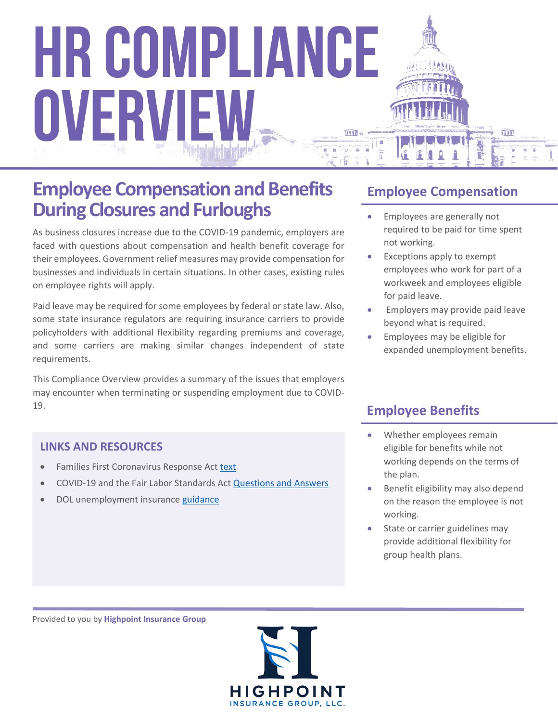### **Employee Compensation and Benefits During Closures and Furloughs**

As business closures increase due to the COVID-19 pandemic, employers are faced with questions about compensation and health benefit coverage for their employees. Government relief measures may provide compensation for businesses and individuals in certain situations. In other cases, existing rules on employee rights will apply.

Paid leave may be required for some employees by federal or state law. Also, some state insurance regulators are requiring insurance carriers to provide policyholders with additional flexibility regarding premiums and coverage, and some carriers are making similar changes independent of state requirements.

This Compliance Overview provides a summary of the issues that employers may encounter when terminating or suspending employment due to COVID-19.

#### **LINKS AND RESOURCES**

- **•** Families First Coronavirus Response Act [text](https://www.congress.gov/116/bills/hr6201/BILLS-116hr6201enr.pdf)
- COVID-19 and the Fair Labor Standards Act [Questions and Answers](https://www.dol.gov/agencies/whd/flsa/pandemic)
- DOL unemployment insurance [guidance](https://www.dol.gov/newsroom/releases/eta/eta20200312-0)

#### **Employee Compensation**

- **Employees are generally not** required to be paid for time spent not working.
- Exceptions apply to exempt employees who work for part of a workweek and employees eligible for paid leave.
- Employers may provide paid leave beyond what is required.
- Employees may be eligible for expanded unemployment benefits.

#### **Employee Benefits**

- Whether employees remain eligible for benefits while not working depends on the terms of the plan.
- Benefit eligibility may also depend on the reason the employee is not working.
- State or carrier guidelines may provide additional flexibility for group health plans.

Provided to you by **Highpoint Insurance Group**

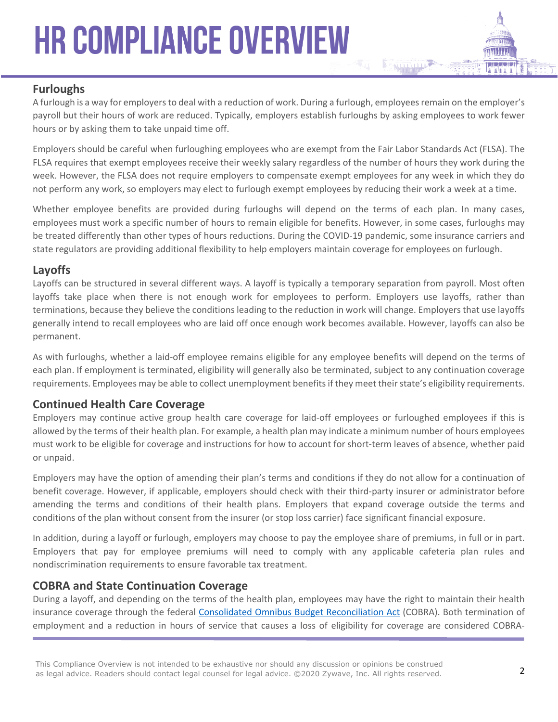#### **Furloughs**

A furlough is a way for employers to deal with a reduction of work. During a furlough, employees remain on the employer's payroll but their hours of work are reduced. Typically, employers establish furloughs by asking employees to work fewer hours or by asking them to take unpaid time off.

Employers should be careful when furloughing employees who are exempt from the Fair Labor Standards Act (FLSA). The FLSA requires that exempt employees receive their weekly salary regardless of the number of hours they work during the week. However, the FLSA does not require employers to compensate exempt employees for any week in which they do not perform any work, so employers may elect to furlough exempt employees by reducing their work a week at a time.

Whether employee benefits are provided during furloughs will depend on the terms of each plan. In many cases, employees must work a specific number of hours to remain eligible for benefits. However, in some cases, furloughs may be treated differently than other types of hours reductions. During the COVID-19 pandemic, some insurance carriers and state regulators are providing additional flexibility to help employers maintain coverage for employees on furlough.

#### **Layoffs**

Layoffs can be structured in several different ways. A layoff is typically a temporary separation from payroll. Most often layoffs take place when there is not enough work for employees to perform. Employers use layoffs, rather than terminations, because they believe the conditions leading to the reduction in work will change. Employers that use layoffs generally intend to recall employees who are laid off once enough work becomes available. However, layoffs can also be permanent.

As with furloughs, whether a laid-off employee remains eligible for any employee benefits will depend on the terms of each plan. If employment is terminated, eligibility will generally also be terminated, subject to any continuation coverage requirements. Employees may be able to collect unemployment benefits if they meet their state's eligibility requirements.

#### **Continued Health Care Coverage**

Employers may continue active group health care coverage for laid-off employees or furloughed employees if this is allowed by the terms of their health plan. For example, a health plan may indicate a minimum number of hours employees must work to be eligible for coverage and instructions for how to account for short-term leaves of absence, whether paid or unpaid.

Employers may have the option of amending their plan's terms and conditions if they do not allow for a continuation of benefit coverage. However, if applicable, employers should check with their third-party insurer or administrator before amending the terms and conditions of their health plans. Employers that expand coverage outside the terms and conditions of the plan without consent from the insurer (or stop loss carrier) face significant financial exposure.

In addition, during a layoff or furlough, employers may choose to pay the employee share of premiums, in full or in part. Employers that pay for employee premiums will need to comply with any applicable cafeteria plan rules and nondiscrimination requirements to ensure favorable tax treatment.

#### **COBRA and State Continuation Coverage**

During a layoff, and depending on the terms of the health plan, employees may have the right to maintain their health insurance coverage through the federal [Consolidated Omnibus Budget Reconciliation Act](https://www.dol.gov/general/topic/health-plans/cobra) (COBRA). Both termination of employment and a reduction in hours of service that causes a loss of eligibility for coverage are considered COBRA-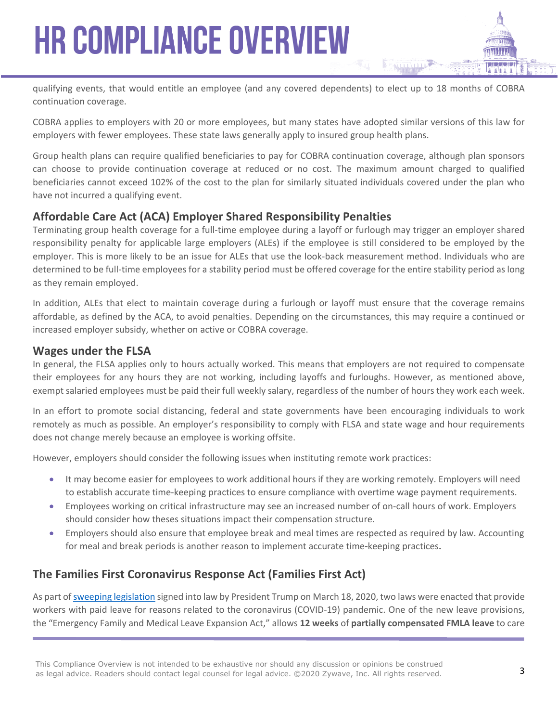qualifying events, that would entitle an employee (and any covered dependents) to elect up to 18 months of COBRA continuation coverage.

COBRA applies to employers with 20 or more employees, but many states have adopted similar versions of this law for employers with fewer employees. These state laws generally apply to insured group health plans.

Group health plans can require qualified beneficiaries to pay for COBRA continuation coverage, although plan sponsors can choose to provide continuation coverage at reduced or no cost. The maximum amount charged to qualified beneficiaries cannot exceed 102% of the cost to the plan for similarly situated individuals covered under the plan who have not incurred a qualifying event.

#### **Affordable Care Act (ACA) Employer Shared Responsibility Penalties**

Terminating group health coverage for a full-time employee during a layoff or furlough may trigger an employer shared responsibility penalty for applicable large employers (ALEs) if the employee is still considered to be employed by the employer. This is more likely to be an issue for ALEs that use the look-back measurement method. Individuals who are determined to be full-time employees for a stability period must be offered coverage for the entire stability period as long as they remain employed.

In addition, ALEs that elect to maintain coverage during a furlough or layoff must ensure that the coverage remains affordable, as defined by the ACA, to avoid penalties. Depending on the circumstances, this may require a continued or increased employer subsidy, whether on active or COBRA coverage.

#### **Wages under the FLSA**

In general, the FLSA applies only to hours actually worked. This means that employers are not required to compensate their employees for any hours they are not working, including layoffs and furloughs. However, as mentioned above, exempt salaried employees must be paid their full weekly salary, regardless of the number of hours they work each week.

In an effort to promote social distancing, federal and state governments have been encouraging individuals to work remotely as much as possible. An employer's responsibility to comply with FLSA and state wage and hour requirements does not change merely because an employee is working offsite.

However, employers should consider the following issues when instituting remote work practices:

- It may become easier for employees to work additional hours if they are working remotely. Employers will need to establish accurate time-keeping practices to ensure compliance with overtime wage payment requirements.
- Employees working on critical infrastructure may see an increased number of on-call hours of work. Employers should consider how theses situations impact their compensation structure.
- Employers should also ensure that employee break and meal times are respected as required by law. Accounting for meal and break periods is another reason to implement accurate time**-**keeping practices**.**

#### **The Families First Coronavirus Response Act (Families First Act)**

As part of [sweeping legislation](https://nam05.safelinks.protection.outlook.com/?url=https://www.congress.gov/116/bills/hr6201/BILLS-116hr6201eh.pdf&data=02%7C01%7Cerica.storm@zywave.com%7C459e233fc6934cded2b508d7cb812f4a%7Cbd0c095f5d664273a20964796ae91974%7C0%7C1%7C637201628024420928&sdata=HFlrBZfQwm7SpWa30q81dwGt7V3XB0EI4s/X9gbQrdQ=&reserved=0) signed into law by President Trump on March 18, 2020, two laws were enacted that provide workers with paid leave for reasons related to the coronavirus (COVID-19) pandemic. One of the new leave provisions, the "Emergency Family and Medical Leave Expansion Act," allows **12 weeks** of **partially compensated FMLA leave** to care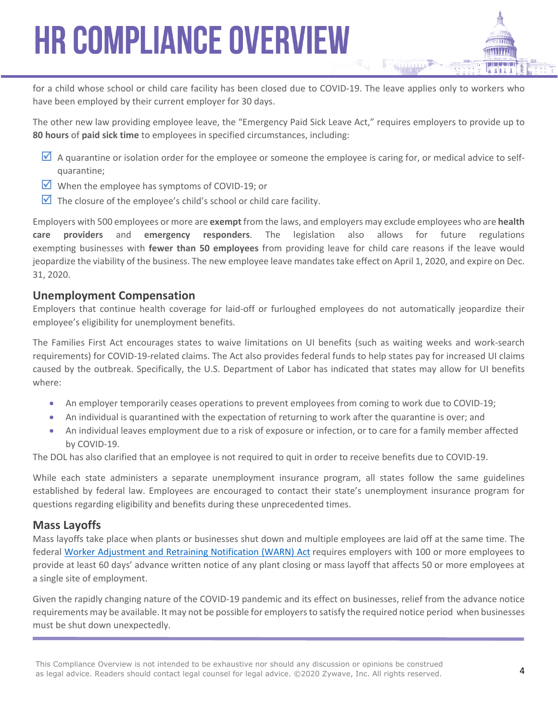for a child whose school or child care facility has been closed due to COVID-19. The leave applies only to workers who have been employed by their current employer for 30 days.

The other new law providing employee leave, the "Emergency Paid Sick Leave Act," requires employers to provide up to **80 hours** of **paid sick time** to employees in specified circumstances, including:

- $\triangledown$  A quarantine or isolation order for the employee or someone the employee is caring for, or medical advice to selfquarantine;
- When the employee has symptoms of COVID-19; or
- $\blacksquare$  The closure of the employee's child's school or child care facility.

Employers with 500 employees or more are **exempt** from the laws, and employers may exclude employees who are **health care providers** and **emergency responders**. The legislation also allows for future regulations exempting businesses with **fewer than 50 employees** from providing leave for child care reasons if the leave would jeopardize the viability of the business. The new employee leave mandates take effect on April 1, 2020, and expire on Dec. 31, 2020.

#### **Unemployment Compensation**

Employers that continue health coverage for laid-off or furloughed employees do not automatically jeopardize their employee's eligibility for unemployment benefits.

The Families First Act encourages states to waive limitations on UI benefits (such as waiting weeks and work-search requirements) for COVID-19-related claims. The Act also provides federal funds to help states pay for increased UI claims caused by the outbreak. Specifically, the U.S. Department of Labor has indicated that states may allow for UI benefits where:

- An employer temporarily ceases operations to prevent employees from coming to work due to COVID-19;
- An individual is quarantined with the expectation of returning to work after the quarantine is over; and
- An individual leaves employment due to a risk of exposure or infection, or to care for a family member affected by COVID-19.

The DOL has also clarified that an employee is not required to quit in order to receive benefits due to COVID-19.

While each state administers a separate unemployment insurance program, all states follow the same guidelines established by federal law. Employees are encouraged to contact their state's unemployment insurance program for questions regarding eligibility and benefits during these unprecedented times.

#### **Mass Layoffs**

Mass layoffs take place when plants or businesses shut down and multiple employees are laid off at the same time. The federal [Worker Adjustment and Retraining Notification \(WARN\) Act](https://www.doleta.gov/layoff/warn/) requires employers with 100 or more employees to provide at least 60 days' advance written notice of any plant closing or mass layoff that affects 50 or more employees at a single site of employment.

Given the rapidly changing nature of the COVID-19 pandemic and its effect on businesses, relief from the advance notice requirements may be available. It may not be possible for employers to satisfy the required notice period when businesses must be shut down unexpectedly.